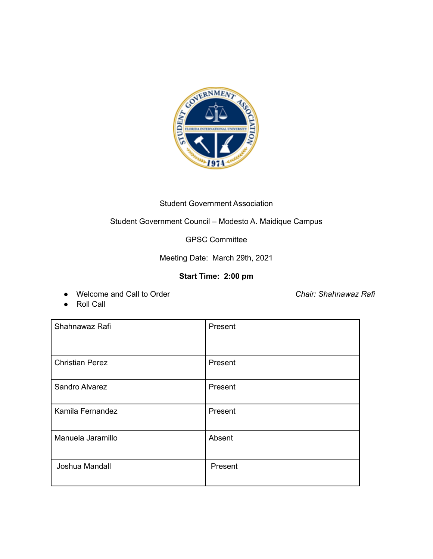

## Student Government Association

## Student Government Council – Modesto A. Maidique Campus

## GPSC Committee

Meeting Date: March 29th, 2021

## **Start Time: 2:00 pm**

● Welcome and Call to Order *Chair: Shahnawaz Rafi*

● Roll Call

| Shahnawaz Rafi         | Present |
|------------------------|---------|
| <b>Christian Perez</b> | Present |
| Sandro Alvarez         | Present |
| Kamila Fernandez       | Present |
| Manuela Jaramillo      | Absent  |
| Joshua Mandall         | Present |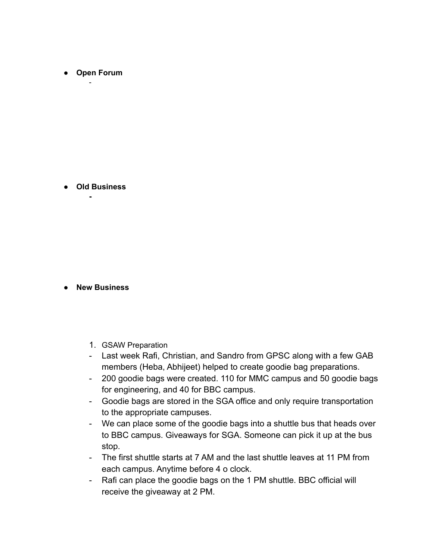**● Open Forum** -

**● Old Business -**

**● New Business**

- 1. GSAW Preparation
- Last week Rafi, Christian, and Sandro from GPSC along with a few GAB members (Heba, Abhijeet) helped to create goodie bag preparations.
- 200 goodie bags were created. 110 for MMC campus and 50 goodie bags for engineering, and 40 for BBC campus.
- Goodie bags are stored in the SGA office and only require transportation to the appropriate campuses.
- We can place some of the goodie bags into a shuttle bus that heads over to BBC campus. Giveaways for SGA. Someone can pick it up at the bus stop.
- The first shuttle starts at 7 AM and the last shuttle leaves at 11 PM from each campus. Anytime before 4 o clock.
- Rafi can place the goodie bags on the 1 PM shuttle. BBC official will receive the giveaway at 2 PM.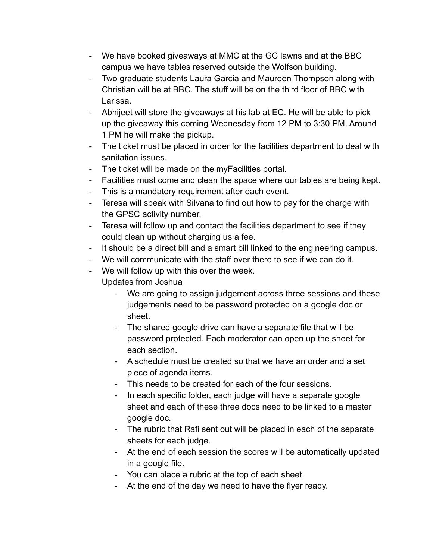- We have booked giveaways at MMC at the GC lawns and at the BBC campus we have tables reserved outside the Wolfson building.
- Two graduate students Laura Garcia and Maureen Thompson along with Christian will be at BBC. The stuff will be on the third floor of BBC with Larissa.
- Abhijeet will store the giveaways at his lab at EC. He will be able to pick up the giveaway this coming Wednesday from 12 PM to 3:30 PM. Around 1 PM he will make the pickup.
- The ticket must be placed in order for the facilities department to deal with sanitation issues.
- The ticket will be made on the myFacilities portal.
- Facilities must come and clean the space where our tables are being kept.
- This is a mandatory requirement after each event.
- Teresa will speak with Silvana to find out how to pay for the charge with the GPSC activity number.
- Teresa will follow up and contact the facilities department to see if they could clean up without charging us a fee.
- It should be a direct bill and a smart bill linked to the engineering campus.
- We will communicate with the staff over there to see if we can do it.
- We will follow up with this over the week. Updates from Joshua
	- We are going to assign judgement across three sessions and these judgements need to be password protected on a google doc or sheet.
	- The shared google drive can have a separate file that will be password protected. Each moderator can open up the sheet for each section.
	- A schedule must be created so that we have an order and a set piece of agenda items.
	- This needs to be created for each of the four sessions.
	- In each specific folder, each judge will have a separate google sheet and each of these three docs need to be linked to a master google doc.
	- The rubric that Rafi sent out will be placed in each of the separate sheets for each judge.
	- At the end of each session the scores will be automatically updated in a google file.
	- You can place a rubric at the top of each sheet.
	- At the end of the day we need to have the flyer ready.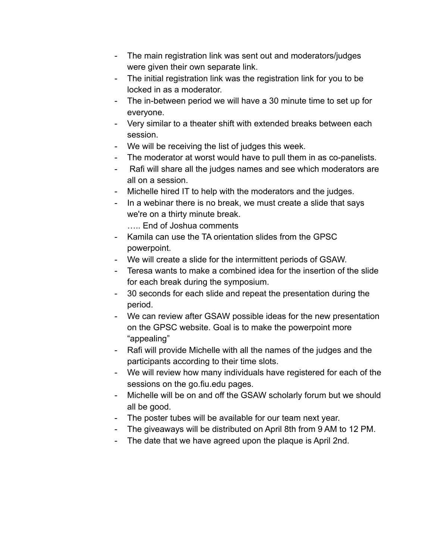- The main registration link was sent out and moderators/judges were given their own separate link.
- The initial registration link was the registration link for you to be locked in as a moderator.
- The in-between period we will have a 30 minute time to set up for everyone.
- Very similar to a theater shift with extended breaks between each session.
- We will be receiving the list of judges this week.
- The moderator at worst would have to pull them in as co-panelists.
- Rafi will share all the judges names and see which moderators are all on a session.
- Michelle hired IT to help with the moderators and the judges.
- In a webinar there is no break, we must create a slide that says we're on a thirty minute break.
	- ….. End of Joshua comments
- Kamila can use the TA orientation slides from the GPSC powerpoint.
- We will create a slide for the intermittent periods of GSAW.
- Teresa wants to make a combined idea for the insertion of the slide for each break during the symposium.
- 30 seconds for each slide and repeat the presentation during the period.
- We can review after GSAW possible ideas for the new presentation on the GPSC website. Goal is to make the powerpoint more "appealing"
- Rafi will provide Michelle with all the names of the judges and the participants according to their time slots.
- We will review how many individuals have registered for each of the sessions on the go.fiu.edu pages.
- Michelle will be on and off the GSAW scholarly forum but we should all be good.
- The poster tubes will be available for our team next year.
- The giveaways will be distributed on April 8th from 9 AM to 12 PM.
- The date that we have agreed upon the plaque is April 2nd.